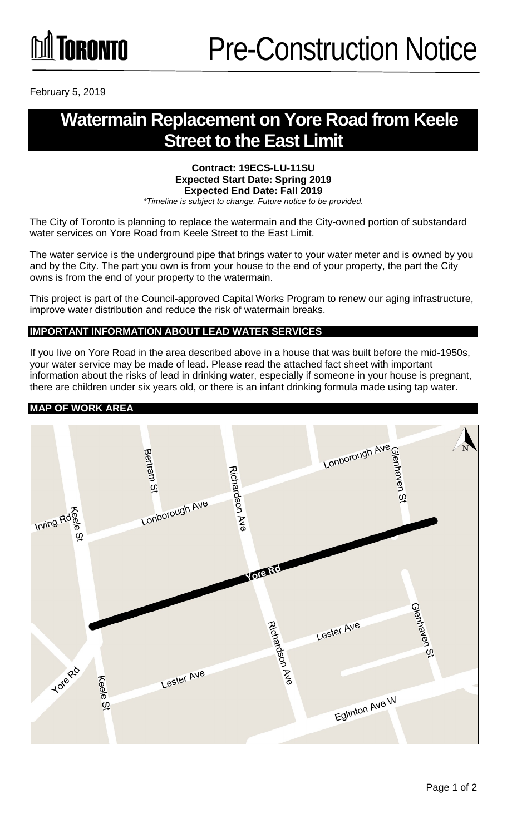February 5, 2019

# **Watermain Replacement on Yore Road from Keele Street to the East Limit**

#### **Contract: 19ECS-LU-11SU Expected Start Date: Spring 2019 Expected End Date: Fall 2019**

*\*Timeline is subject to change. Future notice to be provided.*

The City of Toronto is planning to replace the watermain and the City-owned portion of substandard water services on Yore Road from Keele Street to the East Limit.

The water service is the underground pipe that brings water to your water meter and is owned by you and by the City. The part you own is from your house to the end of your property, the part the City owns is from the end of your property to the watermain.

This project is part of the Council-approved Capital Works Program to renew our aging infrastructure, improve water distribution and reduce the risk of watermain breaks.

## **IMPORTANT INFORMATION ABOUT LEAD WATER SERVICES**

If you live on Yore Road in the area described above in a house that was built before the mid-1950s, your water service may be made of lead. Please read the attached fact sheet with important information about the risks of lead in drinking water, especially if someone in your house is pregnant, there are children under six years old, or there is an infant drinking formula made using tap water.

#### **MAP OF WORK AREA**